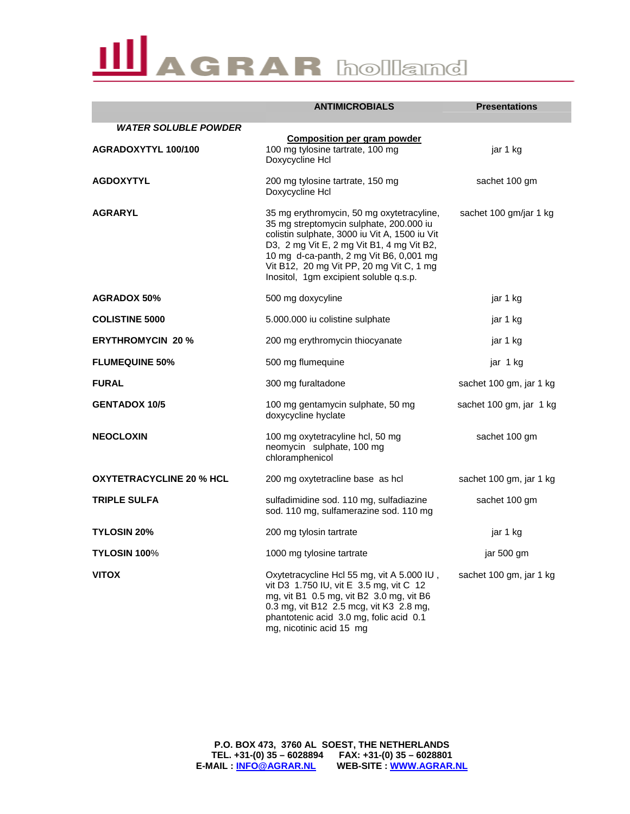|                                 | <b>ANTIMICROBIALS</b>                                                                                                                                                                                                                                                                                               | <b>Presentations</b>    |
|---------------------------------|---------------------------------------------------------------------------------------------------------------------------------------------------------------------------------------------------------------------------------------------------------------------------------------------------------------------|-------------------------|
| <b>WATER SOLUBLE POWDER</b>     |                                                                                                                                                                                                                                                                                                                     |                         |
| AGRADOXYTYL 100/100             | <b>Composition per gram powder</b><br>100 mg tylosine tartrate, 100 mg<br>Doxycycline Hcl                                                                                                                                                                                                                           | jar 1 kg                |
| <b>AGDOXYTYL</b>                | 200 mg tylosine tartrate, 150 mg<br>Doxycycline Hcl                                                                                                                                                                                                                                                                 | sachet 100 gm           |
| <b>AGRARYL</b>                  | 35 mg erythromycin, 50 mg oxytetracyline,<br>35 mg streptomycin sulphate, 200.000 iu<br>colistin sulphate, 3000 iu Vit A, 1500 iu Vit<br>D3, 2 mg Vit E, 2 mg Vit B1, 4 mg Vit B2,<br>10 mg d-ca-panth, 2 mg Vit B6, 0,001 mg<br>Vit B12, 20 mg Vit PP, 20 mg Vit C, 1 mg<br>Inositol, 1gm excipient soluble q.s.p. | sachet 100 gm/jar 1 kg  |
| <b>AGRADOX 50%</b>              | 500 mg doxycyline                                                                                                                                                                                                                                                                                                   | jar 1 kg                |
| <b>COLISTINE 5000</b>           | 5.000.000 iu colistine sulphate                                                                                                                                                                                                                                                                                     | jar 1 kg                |
| <b>ERYTHROMYCIN 20 %</b>        | 200 mg erythromycin thiocyanate                                                                                                                                                                                                                                                                                     | jar 1 kg                |
| <b>FLUMEQUINE 50%</b>           | 500 mg flumequine                                                                                                                                                                                                                                                                                                   | jar 1 kg                |
| <b>FURAL</b>                    | 300 mg furaltadone                                                                                                                                                                                                                                                                                                  | sachet 100 gm, jar 1 kg |
| <b>GENTADOX 10/5</b>            | 100 mg gentamycin sulphate, 50 mg<br>doxycycline hyclate                                                                                                                                                                                                                                                            | sachet 100 gm, jar 1 kg |
| <b>NEOCLOXIN</b>                | 100 mg oxytetracyline hcl, 50 mg<br>neomycin sulphate, 100 mg<br>chloramphenicol                                                                                                                                                                                                                                    | sachet 100 gm           |
| <b>OXYTETRACYCLINE 20 % HCL</b> | 200 mg oxytetracline base as hcl                                                                                                                                                                                                                                                                                    | sachet 100 gm, jar 1 kg |
| <b>TRIPLE SULFA</b>             | sulfadimidine sod. 110 mg, sulfadiazine<br>sod. 110 mg, sulfamerazine sod. 110 mg                                                                                                                                                                                                                                   | sachet 100 gm           |
| <b>TYLOSIN 20%</b>              | 200 mg tylosin tartrate                                                                                                                                                                                                                                                                                             | jar 1 kg                |
| TYLOSIN 100%                    | 1000 mg tylosine tartrate                                                                                                                                                                                                                                                                                           | jar 500 gm              |
| <b>VITOX</b>                    | Oxytetracycline Hcl 55 mg, vit A 5.000 IU,<br>vit D3 1.750 IU, vit E 3.5 mg, vit C 12<br>mg, vit B1 0.5 mg, vit B2 3.0 mg, vit B6<br>0.3 mg, vit B12 2.5 mcg, vit K3 2.8 mg,<br>phantotenic acid 3.0 mg, folic acid 0.1<br>mg, nicotinic acid 15 mg                                                                 | sachet 100 gm, jar 1 kg |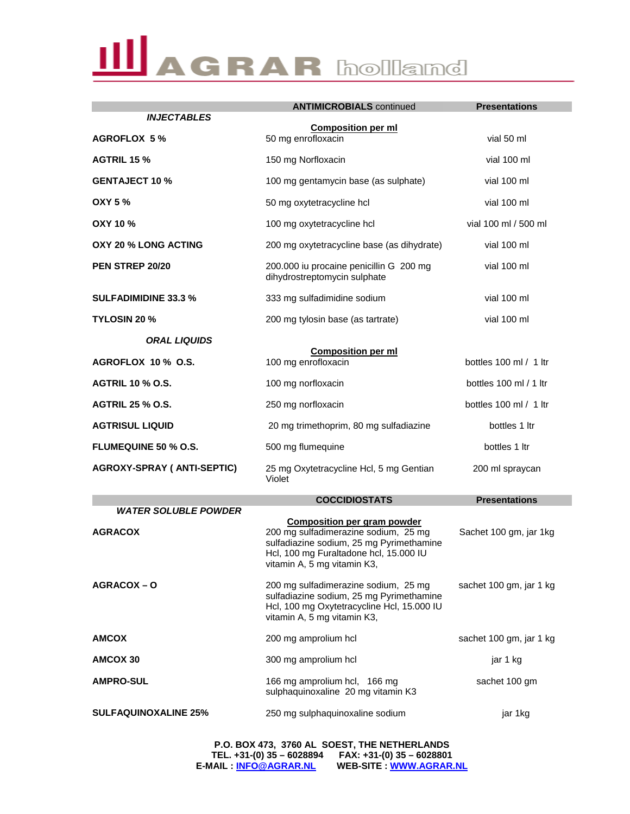|                                               | <b>ANTIMICROBIALS</b> continued                                                                                                                                                                 | <b>Presentations</b>    |  |
|-----------------------------------------------|-------------------------------------------------------------------------------------------------------------------------------------------------------------------------------------------------|-------------------------|--|
| <b>INJECTABLES</b>                            | <b>Composition per ml</b>                                                                                                                                                                       |                         |  |
| <b>AGROFLOX 5%</b>                            | 50 mg enrofloxacin                                                                                                                                                                              | vial 50 ml              |  |
| <b>AGTRIL 15 %</b>                            | 150 mg Norfloxacin                                                                                                                                                                              | vial 100 ml             |  |
| <b>GENTAJECT 10 %</b>                         | 100 mg gentamycin base (as sulphate)                                                                                                                                                            | vial 100 ml             |  |
| <b>OXY 5 %</b>                                | 50 mg oxytetracycline hcl                                                                                                                                                                       | vial 100 ml             |  |
| <b>OXY 10 %</b>                               | 100 mg oxytetracycline hcl                                                                                                                                                                      | vial 100 ml / 500 ml    |  |
| OXY 20 % LONG ACTING                          | 200 mg oxytetracycline base (as dihydrate)                                                                                                                                                      | vial 100 ml             |  |
| PEN STREP 20/20                               | 200.000 iu procaine penicillin G 200 mg<br>dihydrostreptomycin sulphate                                                                                                                         | vial 100 ml             |  |
| <b>SULFADIMIDINE 33.3 %</b>                   | 333 mg sulfadimidine sodium                                                                                                                                                                     | vial 100 ml             |  |
| <b>TYLOSIN 20 %</b>                           | 200 mg tylosin base (as tartrate)                                                                                                                                                               | vial 100 ml             |  |
| <b>ORAL LIQUIDS</b>                           |                                                                                                                                                                                                 |                         |  |
| AGROFLOX 10 % O.S.                            | <b>Composition per ml</b><br>100 mg enrofloxacin                                                                                                                                                | bottles 100 ml / 1 ltr  |  |
| <b>AGTRIL 10 % O.S.</b>                       | 100 mg norfloxacin                                                                                                                                                                              | bottles 100 ml / 1 ltr  |  |
| <b>AGTRIL 25 % O.S.</b>                       | 250 mg norfloxacin                                                                                                                                                                              | bottles 100 ml / 1 ltr  |  |
| <b>AGTRISUL LIQUID</b>                        | 20 mg trimethoprim, 80 mg sulfadiazine                                                                                                                                                          | bottles 1 ltr           |  |
| <b>FLUMEQUINE 50 % O.S.</b>                   | 500 mg flumequine                                                                                                                                                                               | bottles 1 ltr           |  |
| <b>AGROXY-SPRAY ( ANTI-SEPTIC)</b>            | 25 mg Oxytetracycline Hcl, 5 mg Gentian<br>Violet                                                                                                                                               | 200 ml spraycan         |  |
|                                               | <b>COCCIDIOSTATS</b>                                                                                                                                                                            | <b>Presentations</b>    |  |
| <b>WATER SOLUBLE POWDER</b><br><b>AGRACOX</b> | <b>Composition per gram powder</b><br>200 mg sulfadimerazine sodium, 25 mg<br>sulfadiazine sodium, 25 mg Pyrimethamine<br>Hcl, 100 mg Furaltadone hcl, 15.000 IU<br>vitamin A, 5 mg vitamin K3, | Sachet 100 gm, jar 1kg  |  |
| AGRACOX-O                                     | 200 mg sulfadimerazine sodium, 25 mg<br>sulfadiazine sodium, 25 mg Pyrimethamine<br>Hcl, 100 mg Oxytetracycline Hcl, 15.000 IU<br>vitamin A, 5 mg vitamin K3,                                   | sachet 100 gm, jar 1 kg |  |
| <b>AMCOX</b>                                  | 200 mg amprolium hcl                                                                                                                                                                            | sachet 100 gm, jar 1 kg |  |
| AMCOX 30                                      | 300 mg amprolium hcl                                                                                                                                                                            | jar 1 kg                |  |
| <b>AMPRO-SUL</b>                              | 166 mg amprolium hcl, 166 mg<br>sulphaquinoxaline 20 mg vitamin K3                                                                                                                              | sachet 100 gm           |  |
| <b>SULFAQUINOXALINE 25%</b>                   | 250 mg sulphaquinoxaline sodium                                                                                                                                                                 | jar 1kg                 |  |

**P.O. BOX 473, 3760 AL SOEST, THE NETHERLANDS TEL. +31-(0) 35 – 6028894 FAX: +31-(0) 35 – 6028801 E-MAIL : INFO@AGRAR.NL WEB-SITE : WWW.AGRAR.NL**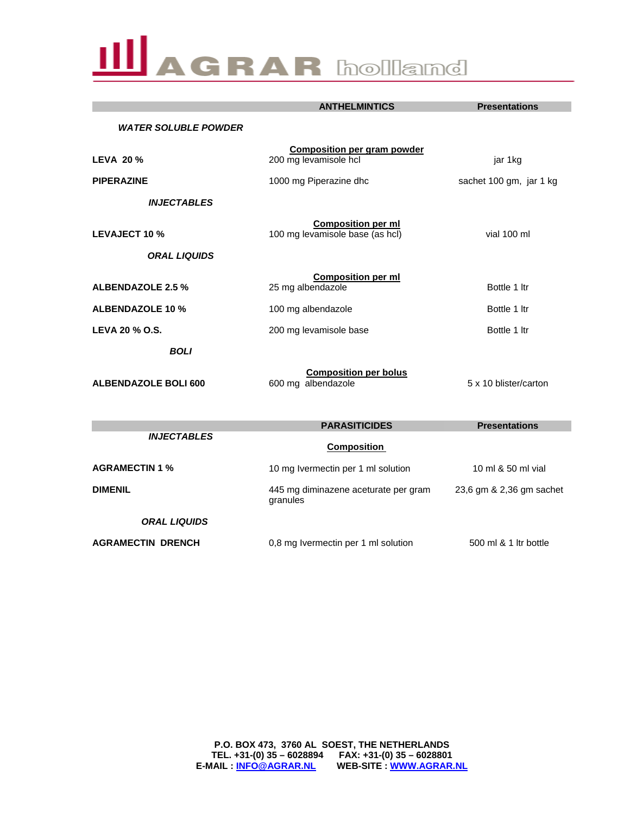|                             | <b>ANTHELMINTICS</b>                                         | <b>Presentations</b>     |
|-----------------------------|--------------------------------------------------------------|--------------------------|
| <b>WATER SOLUBLE POWDER</b> |                                                              |                          |
| <b>LEVA 20%</b>             | <b>Composition per gram powder</b><br>200 mg levamisole hcl  | jar 1kg                  |
| <b>PIPERAZINE</b>           | 1000 mg Piperazine dhc                                       | sachet 100 gm, jar 1 kg  |
| <b>INJECTABLES</b>          |                                                              |                          |
| <b>LEVAJECT 10 %</b>        | <b>Composition per ml</b><br>100 mg levamisole base (as hcl) | vial 100 ml              |
| <b>ORAL LIQUIDS</b>         |                                                              |                          |
| <b>ALBENDAZOLE 2.5 %</b>    | <b>Composition per ml</b><br>25 mg albendazole               | Bottle 1 ltr             |
| <b>ALBENDAZOLE 10 %</b>     | 100 mg albendazole                                           | Bottle 1 Itr             |
| LEVA 20 % O.S.              | 200 mg levamisole base                                       | Bottle 1 Itr             |
| <b>BOLI</b>                 |                                                              |                          |
| <b>ALBENDAZOLE BOLI 600</b> | <b>Composition per bolus</b><br>600 mg albendazole           | 5 x 10 blister/carton    |
|                             | <b>PARASITICIDES</b>                                         | <b>Presentations</b>     |
| <b>INJECTABLES</b>          | <b>Composition</b>                                           |                          |
| <b>AGRAMECTIN 1 %</b>       | 10 mg Ivermectin per 1 ml solution                           | 10 ml & 50 ml vial       |
| <b>DIMENIL</b>              | 445 mg diminazene aceturate per gram<br>granules             | 23,6 gm & 2,36 gm sachet |
| <b>ORAL LIQUIDS</b>         |                                                              |                          |

**AGRAMECTIN DRENCH** 0,8 mg Ivermectin per 1 ml solution 500 ml & 1 ltr bottle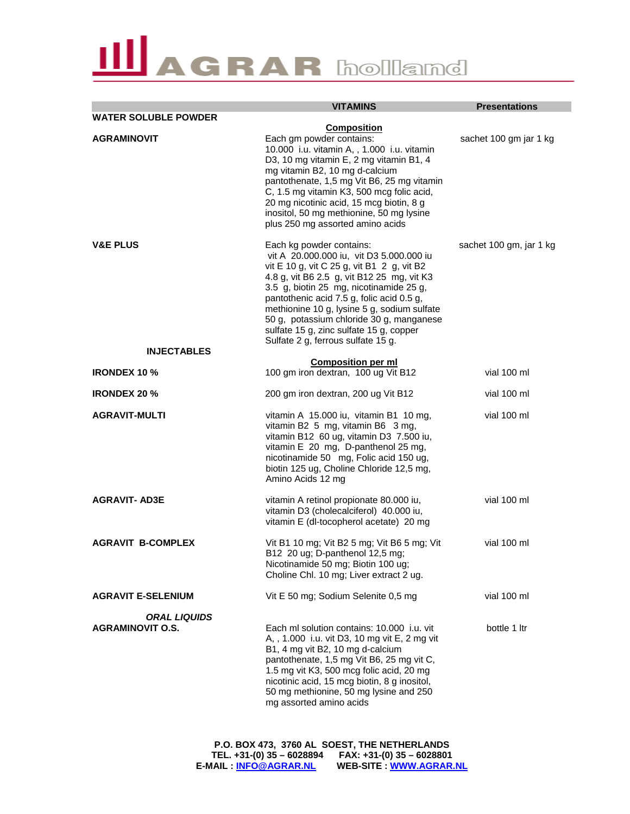|                                                | <b>VITAMINS</b>                                                                                                                                                                                                                                                                                                                                                                                                                      | <b>Presentations</b>    |
|------------------------------------------------|--------------------------------------------------------------------------------------------------------------------------------------------------------------------------------------------------------------------------------------------------------------------------------------------------------------------------------------------------------------------------------------------------------------------------------------|-------------------------|
| <b>WATER SOLUBLE POWDER</b>                    |                                                                                                                                                                                                                                                                                                                                                                                                                                      |                         |
| <b>AGRAMINOVIT</b>                             | <b>Composition</b><br>Each gm powder contains:<br>10.000 i.u. vitamin A, , 1.000 i.u. vitamin<br>D3, 10 mg vitamin E, 2 mg vitamin B1, 4<br>mg vitamin B2, 10 mg d-calcium<br>pantothenate, 1,5 mg Vit B6, 25 mg vitamin<br>C, 1.5 mg vitamin K3, 500 mcg folic acid,<br>20 mg nicotinic acid, 15 mcg biotin, 8 g<br>inositol, 50 mg methionine, 50 mg lysine<br>plus 250 mg assorted amino acids                                    | sachet 100 gm jar 1 kg  |
| <b>V&amp;E PLUS</b>                            | Each kg powder contains:<br>vit A 20.000.000 iu, vit D3 5.000.000 iu<br>vit E 10 g, vit C 25 g, vit B1 2 g, vit B2<br>4.8 g, vit B6 2.5 g, vit B12 25 mg, vit K3<br>3.5 g, biotin 25 mg, nicotinamide 25 g,<br>pantothenic acid 7.5 g, folic acid 0.5 g,<br>methionine 10 g, lysine 5 g, sodium sulfate<br>50 g, potassium chloride 30 g, manganese<br>sulfate 15 g, zinc sulfate 15 g, copper<br>Sulfate 2 g, ferrous sulfate 15 g. | sachet 100 gm, jar 1 kg |
| <b>INJECTABLES</b>                             |                                                                                                                                                                                                                                                                                                                                                                                                                                      |                         |
| <b>IRONDEX 10 %</b>                            | <b>Composition per ml</b><br>100 gm iron dextran, 100 ug Vit B12                                                                                                                                                                                                                                                                                                                                                                     | vial 100 ml             |
| <b>IRONDEX 20 %</b>                            | 200 gm iron dextran, 200 ug Vit B12                                                                                                                                                                                                                                                                                                                                                                                                  | vial 100 ml             |
| <b>AGRAVIT-MULTI</b>                           | vitamin A 15.000 iu, vitamin B1 10 mg,<br>vitamin B2 5 mg, vitamin B6 3 mg,<br>vitamin B12 60 ug, vitamin D3 7.500 iu,<br>vitamin E 20 mg, D-panthenol 25 mg,<br>nicotinamide 50 mg, Folic acid 150 ug,<br>biotin 125 ug, Choline Chloride 12,5 mg,<br>Amino Acids 12 mg                                                                                                                                                             | vial 100 ml             |
| <b>AGRAVIT- AD3E</b>                           | vitamin A retinol propionate 80.000 iu,<br>vitamin D3 (cholecalciferol) 40.000 iu,<br>vitamin E (dl-tocopherol acetate) 20 mg                                                                                                                                                                                                                                                                                                        | vial 100 ml             |
| <b>AGRAVIT B-COMPLEX</b>                       | Vit B1 10 mg; Vit B2 5 mg; Vit B6 5 mg; Vit<br>B12 20 ug; D-panthenol 12,5 mg;<br>Nicotinamide 50 mg; Biotin 100 ug;<br>Choline Chl. 10 mg; Liver extract 2 ug.                                                                                                                                                                                                                                                                      | vial 100 ml             |
| <b>AGRAVIT E-SELENIUM</b>                      | Vit E 50 mg; Sodium Selenite 0,5 mg                                                                                                                                                                                                                                                                                                                                                                                                  | vial 100 ml             |
| <b>ORAL LIQUIDS</b><br><b>AGRAMINOVIT O.S.</b> | Each ml solution contains: 10,000 i.u. vit<br>A, , 1.000 i.u. vit D3, 10 mg vit E, 2 mg vit<br>B1, 4 mg vit B2, 10 mg d-calcium<br>pantothenate, 1,5 mg Vit B6, 25 mg vit C,<br>1.5 mg vit K3, 500 mcg folic acid, 20 mg<br>nicotinic acid, 15 mcg biotin, 8 g inositol,<br>50 mg methionine, 50 mg lysine and 250<br>mg assorted amino acids                                                                                        | bottle 1 ltr            |

**P.O. BOX 473, 3760 AL SOEST, THE NETHERLANDS TEL. +31-(0) 35 – 6028894 FAX: +31-(0) 35 – 6028801 E-MAIL : INFO@AGRAR.NL WEB-SITE : WWW.AGRAR.NL**